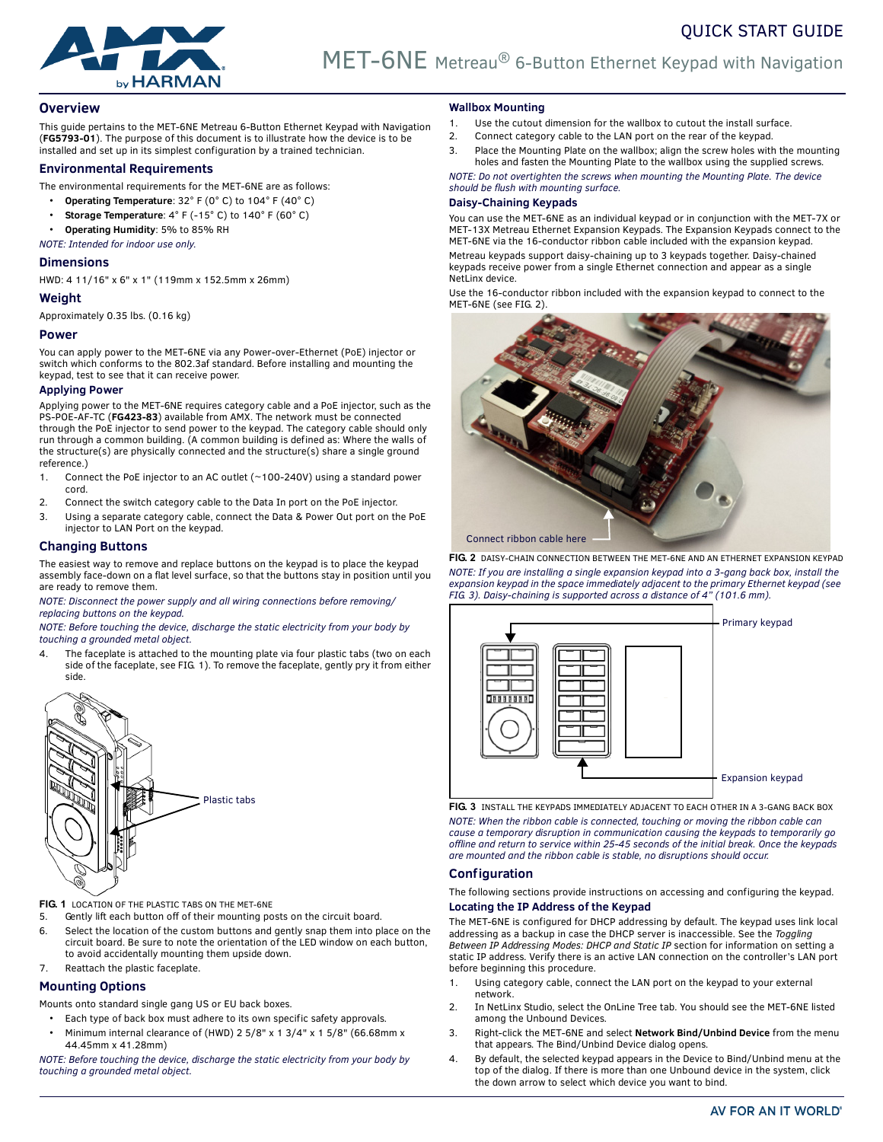

# **Overview**

This guide pertains to the MET-6NE Metreau 6-Button Ethernet Keypad with Navigation (**FG5793-01**). The purpose of this document is to illustrate how the device is to be installed and set up in its simplest configuration by a trained technician.

## **Environmental Requirements**

- The environmental requirements for the MET-6NE are as follows:
	- **Operating Temperature**: 32° F (0° C) to 104° F (40° C)
	- **Storage Temperature**: 4° F (-15° C) to 140° F (60° C)
	- **Operating Humidity**: 5% to 85% RH

*NOTE: Intended for indoor use only.*

# **Dimensions**

HWD: 4 11/16" x 6" x 1" (119mm x 152.5mm x 26mm)

## **Weight**

Approximately 0.35 lbs. (0.16 kg)

## **Power**

You can apply power to the MET-6NE via any Power-over-Ethernet (PoE) injector or switch which conforms to the 802.3af standard. Before installing and mounting the keypad, test to see that it can receive power.

## **Applying Power**

Applying power to the MET-6NE requires category cable and a PoE injector, such as the PS-POE-AF-TC (**FG423-83**) available from AMX. The network must be connected through the PoE injector to send power to the keypad. The category cable should only run through a common building. (A common building is defined as: Where the walls of the structure(s) are physically connected and the structure(s) share a single ground reference.)

- 1. Connect the PoE injector to an AC outlet (~100-240V) using a standard power cord.
- 2. Connect the switch category cable to the Data In port on the PoE injector.
- 3. Using a separate category cable, connect the Data & Power Out port on the PoE injector to LAN Port on the keypad.

## **Changing Buttons**

The easiest way to remove and replace buttons on the keypad is to place the keypad assembly face-down on a flat level surface, so that the buttons stay in position until you are ready to remove them.

*NOTE: Disconnect the power supply and all wiring connections before removing/ replacing buttons on the keypad.*

*NOTE: Before touching the device, discharge the static electricity from your body by touching a grounded metal object.*

The faceplate is attached to the mounting plate via four plastic tabs (two on each side of the faceplate, see [FIG. 1\)](#page-0-1). To remove the faceplate, gently pry it from either side.



<span id="page-0-1"></span>**FIG. 1** LOCATION OF THE PLASTIC TABS ON THE MET-6NE

- 5. Gently lift each button off of their mounting posts on the circuit board.
- 6. Select the location of the custom buttons and gently snap them into place on the circuit board. Be sure to note the orientation of the LED window on each button, to avoid accidentally mounting them upside down.
- 7. Reattach the plastic faceplate.

# **Mounting Options**

Mounts onto standard single gang US or EU back boxes.

- Each type of back box must adhere to its own specific safety approvals.
- Minimum internal clearance of (HWD) 2 5/8" x 1 3/4" x 1 5/8" (66.68mm x 44.45mm x 41.28mm)

*NOTE: Before touching the device, discharge the static electricity from your body by touching a grounded metal object.*

### **Wallbox Mounting**

- 1. Use the cutout dimension for the wallbox to cutout the install surface.
- 2. Connect category cable to the LAN port on the rear of the keypad.
- 3. Place the Mounting Plate on the wallbox; align the screw holes with the mounting holes and fasten the Mounting Plate to the wallbox using the supplied screws.

QUICK START GUIDE

*NOTE: Do not overtighten the screws when mounting the Mounting Plate. The device should be flush with mounting surface.*

# **Daisy-Chaining Keypads**

You can use the MET-6NE as an individual keypad or in conjunction with the MET-7X or MET-13X Metreau Ethernet Expansion Keypads. The Expansion Keypads connect to the MET-6NE via the 16-conductor ribbon cable included with the expansion keypad.

Metreau keypads support daisy-chaining up to 3 keypads together. Daisy-chained keypads receive power from a single Ethernet connection and appear as a single NetLinx device.

Use the 16-conductor ribbon included with the expansion keypad to connect to the MET-6NE (see FIG. 2).



**FIG. 2** DAISY-CHAIN CONNECTION BETWEEN THE MET-6NE AND AN ETHERNET EXPANSION KEYPAD *NOTE: If you are installing a single expansion keypad into a 3-gang back box, install the expansion keypad in the space immediately adjacent to the primary Ethernet keypad (see [FIG. 3](#page-0-0)). Daisy-chaining is supported across a distance of 4" (101.6 mm).*



<span id="page-0-0"></span>**FIG. 3** INSTALL THE KEYPADS IMMEDIATELY ADJACENT TO EACH OTHER IN A 3-GANG BACK BOX *NOTE: When the ribbon cable is connected, touching or moving the ribbon cable can cause a temporary disruption in communication causing the keypads to temporarily go offline and return to service within 25-45 seconds of the initial break. Once the keypads are mounted and the ribbon cable is stable, no disruptions should occur.*

## **Configuration**

The following sections provide instructions on accessing and configuring the keypad.

# **Locating the IP Address of the Keypad**

The MET-6NE is configured for DHCP addressing by default. The keypad uses link local addressing as a backup in case the DHCP server is inaccessible. See the *Toggling Between IP Addressing Modes: DHCP and Static IP* section for information on setting a static IP address. Verify there is an active LAN connection on the controller's LAN port before beginning this procedure.

- 1. Using category cable, connect the LAN port on the keypad to your external network.
- 2. In NetLinx Studio, select the OnLine Tree tab. You should see the MET-6NE listed among the Unbound Devices.
- 3. Right-click the MET-6NE and select **Network Bind/Unbind Device** from the menu that appears. The Bind/Unbind Device dialog opens.
- 4. By default, the selected keypad appears in the Device to Bind/Unbind menu at the top of the dialog. If there is more than one Unbound device in the system, click the down arrow to select which device you want to bind.